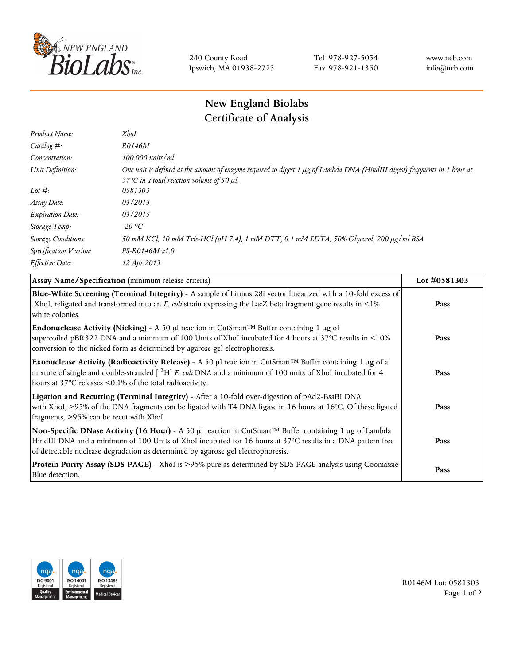

240 County Road Ipswich, MA 01938-2723 Tel 978-927-5054 Fax 978-921-1350 www.neb.com info@neb.com

## **New England Biolabs Certificate of Analysis**

| Product Name:              | <b>XhoI</b>                                                                                                                                                                           |
|----------------------------|---------------------------------------------------------------------------------------------------------------------------------------------------------------------------------------|
| Catalog $#$ :              | R0146M                                                                                                                                                                                |
| Concentration:             | 100,000 units/ml                                                                                                                                                                      |
| Unit Definition:           | One unit is defined as the amount of enzyme required to digest 1 µg of Lambda DNA (HindIII digest) fragments in 1 hour at<br>37 $\degree$ C in a total reaction volume of 50 $\mu$ l. |
| Lot $#$ :                  | 0581303                                                                                                                                                                               |
| Assay Date:                | 03/2013                                                                                                                                                                               |
| <b>Expiration Date:</b>    | 03/2015                                                                                                                                                                               |
| Storage Temp:              | -20 °C                                                                                                                                                                                |
| <b>Storage Conditions:</b> | 50 mM KCl, 10 mM Tris-HCl (pH 7.4), 1 mM DTT, 0.1 mM EDTA, 50% Glycerol, 200 µg/ml BSA                                                                                                |
| Specification Version:     | $PS-R0146M v1.0$                                                                                                                                                                      |
| Effective Date:            | 12 Apr 2013                                                                                                                                                                           |
|                            |                                                                                                                                                                                       |

| Assay Name/Specification (minimum release criteria)                                                                                                                                                                                                                                                                        | Lot #0581303 |
|----------------------------------------------------------------------------------------------------------------------------------------------------------------------------------------------------------------------------------------------------------------------------------------------------------------------------|--------------|
| Blue-White Screening (Terminal Integrity) - A sample of Litmus 28i vector linearized with a 10-fold excess of<br>XhoI, religated and transformed into an E. coli strain expressing the LacZ beta fragment gene results in <1%<br>white colonies.                                                                           | Pass         |
| <b>Endonuclease Activity (Nicking)</b> - A 50 µl reaction in CutSmart <sup>TM</sup> Buffer containing 1 µg of<br>supercoiled pBR322 DNA and a minimum of 100 Units of XhoI incubated for 4 hours at 37°C results in <10%<br>conversion to the nicked form as determined by agarose gel electrophoresis.                    | Pass         |
| Exonuclease Activity (Radioactivity Release) - A 50 $\mu$ l reaction in CutSmart <sup>TM</sup> Buffer containing 1 $\mu$ g of a<br>mixture of single and double-stranded $[$ <sup>3</sup> H $]$ E. coli DNA and a minimum of 100 units of XhoI incubated for 4<br>hours at 37°C releases <0.1% of the total radioactivity. | Pass         |
| Ligation and Recutting (Terminal Integrity) - After a 10-fold over-digestion of pAd2-BsaBI DNA<br>with XhoI, >95% of the DNA fragments can be ligated with T4 DNA ligase in 16 hours at 16°C. Of these ligated<br>fragments, >95% can be recut with XhoI.                                                                  | Pass         |
| Non-Specific DNase Activity (16 Hour) - A 50 µl reaction in CutSmart™ Buffer containing 1 µg of Lambda<br>HindIII DNA and a minimum of 100 Units of XhoI incubated for 16 hours at 37°C results in a DNA pattern free<br>of detectable nuclease degradation as determined by agarose gel electrophoresis.                  | Pass         |
| Protein Purity Assay (SDS-PAGE) - XhoI is >95% pure as determined by SDS PAGE analysis using Coomassie<br>Blue detection.                                                                                                                                                                                                  | Pass         |



R0146M Lot: 0581303 Page 1 of 2